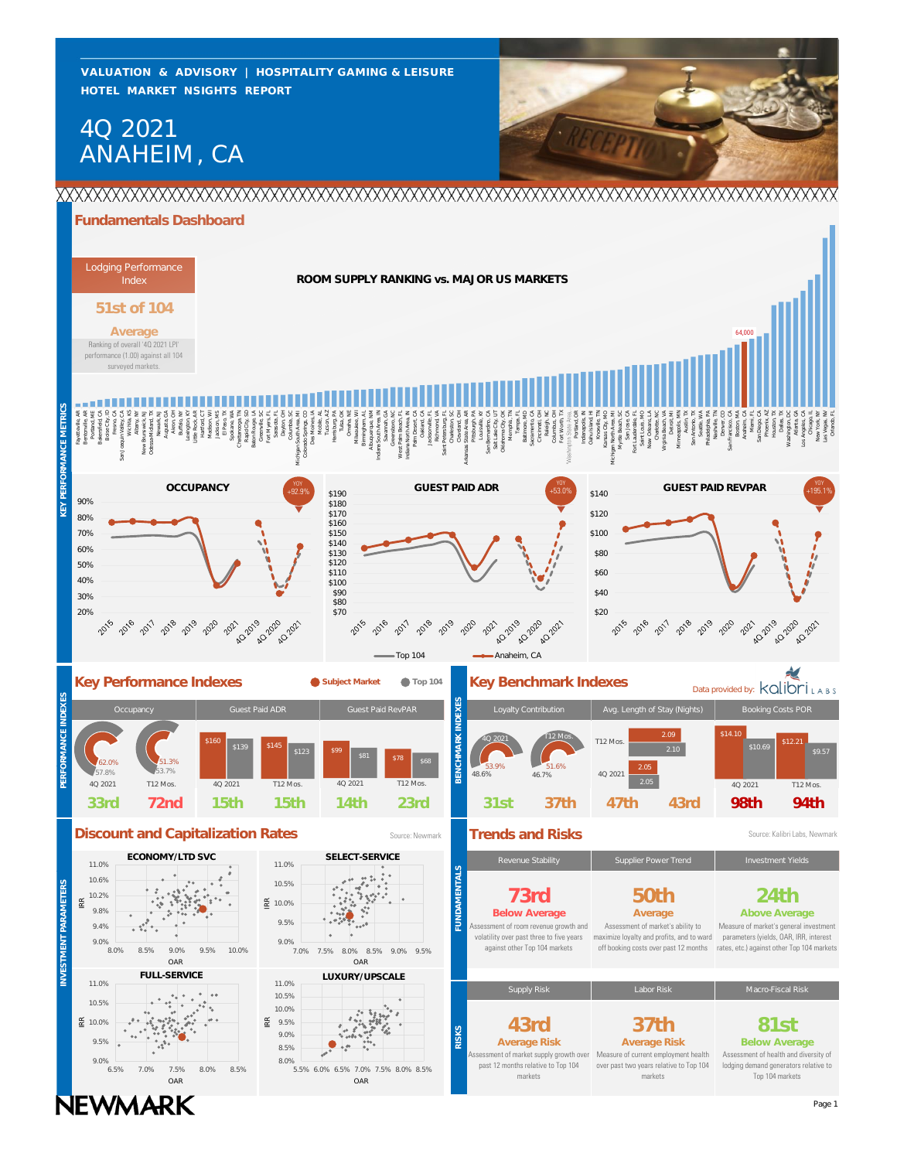**HOTEL MARKET NSIGHTS REPORT VALUATION & ADVISORY | HOSPITALITY GAMING & LEISURE**

# ANAHEIM, CA 4Q 2021



## **Fundamentals Dashboard**

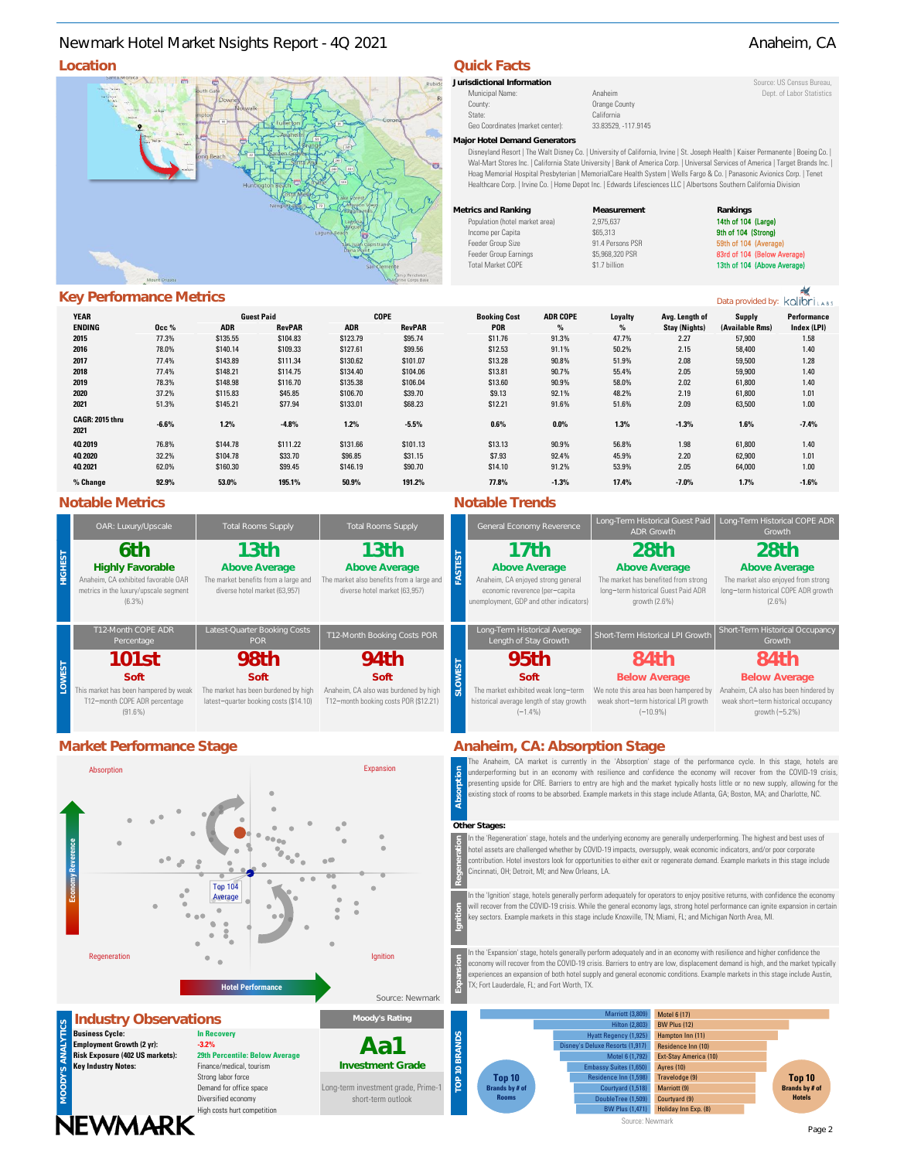# **Location Quick Facts** Newmark Hotel Market Nsights Report - 4Q 2021 Anaheim, CA



## **Key Performance Metrics**

|                         |         |            |                   |            |               |                     |                 |         |                      |                 | 11001011111222 |
|-------------------------|---------|------------|-------------------|------------|---------------|---------------------|-----------------|---------|----------------------|-----------------|----------------|
| <b>YEAR</b>             |         |            | <b>Guest Paid</b> |            | <b>COPE</b>   | <b>Booking Cost</b> | <b>ADR COPE</b> | Loyalty | Avg. Length of       | <b>Supply</b>   | Performance    |
| <b>ENDING</b>           | 0cc %   | <b>ADR</b> | <b>RevPAR</b>     | <b>ADR</b> | <b>RevPAR</b> | <b>POR</b>          | %               | $\%$    | <b>Stay (Nights)</b> | (Available Rms) | Index (LPI)    |
| 2015                    | 77.3%   | \$135.55   | \$104.83          | \$123.79   | \$95.74       | \$11.76             | 91.3%           | 47.7%   | 2.27                 | 57,900          | 1.58           |
| 2016                    | 78.0%   | \$140.14   | \$109.33          | \$127.61   | \$99.56       | \$12.53             | 91.1%           | 50.2%   | 2.15                 | 58,400          | 1.40           |
| 2017                    | 77.4%   | \$143.89   | \$111.34          | \$130.62   | \$101.07      | \$13.28             | 90.8%           | 51.9%   | 2.08                 | 59,500          | 1.28           |
| 2018                    | 77.4%   | \$148.21   | \$114.75          | \$134.40   | \$104.06      | \$13.81             | 90.7%           | 55.4%   | 2.05                 | 59,900          | 1.40           |
| 2019                    | 78.3%   | \$148.98   | \$116.70          | \$135.38   | \$106.04      | \$13.60             | 90.9%           | 58.0%   | 2.02                 | 61,800          | 1.40           |
| 2020                    | 37.2%   | \$115.83   | \$45.85           | \$106.70   | \$39.70       | \$9.13              | 92.1%           | 48.2%   | 2.19                 | 61,800          | 1.01           |
| 2021                    | 51.3%   | \$145.21   | \$77.94           | \$133.01   | \$68.23       | \$12.21             | 91.6%           | 51.6%   | 2.09                 | 63,500          | 1.00           |
| CAGR: 2015 thru<br>2021 | $-6.6%$ | 1.2%       | $-4.8%$           | 1.2%       | $-5.5%$       | 0.6%                | $0.0\%$         | 1.3%    | $-1.3%$              | 1.6%            | $-7.4%$        |
| 40 2019                 | 76.8%   | \$144.78   | \$111.22          | \$131.66   | \$101.13      | \$13.13             | 90.9%           | 56.8%   | 1.98                 | 61,800          | 1.40           |
| 40 2020                 | 32.2%   | \$104.78   | \$33.70           | \$96.85    | \$31.15       | \$7.93              | 92.4%           | 45.9%   | 2.20                 | 62,900          | 1.01           |
| 40 2021                 | 62.0%   | \$160.30   | \$99.45           | \$146.19   | \$90.70       | \$14.10             | 91.2%           | 53.9%   | 2.05                 | 64,000          | 1.00           |
| % Change                | 92.9%   | 53.0%      | 195.1%            | 50.9%      | 191.2%        | 77.8%               | $-1.3%$         | 17.4%   | $-7.0%$              | 1.7%            | $-1.6%$        |
|                         |         |            |                   |            |               |                     |                 |         |                      |                 |                |

## **Notable Metrics Notable Trends**

|                | OAR: Luxury/Upscale                                                                                                      | <b>Total Rooms Supply</b>                                                                      | <b>Total Rooms Supply</b>                                                                           |  |  |
|----------------|--------------------------------------------------------------------------------------------------------------------------|------------------------------------------------------------------------------------------------|-----------------------------------------------------------------------------------------------------|--|--|
| <b>HIGHEST</b> | 6th<br><b>Highly Favorable</b><br>Anaheim. CA exhibited favorable OAR<br>metrics in the luxury/upscale segment<br>(6.3%) | 13th<br>Above Average<br>The market benefits from a large and<br>diverse hotel market (63,957) | 13th<br>Above Average<br>The market also benefits from a large and<br>diverse hotel market (63,957) |  |  |
|                | T12-Month COPE ADR<br>Percentage                                                                                         | Latest-Quarter Booking Costs<br>POR.                                                           | T12-Month Booking Costs POR                                                                         |  |  |
|                | <b>101st</b>                                                                                                             | 98th                                                                                           | 94th                                                                                                |  |  |
| <b>LOWEST</b>  | Soft                                                                                                                     | Soft                                                                                           | Soft                                                                                                |  |  |
|                | This market has been hampered by weak<br>T12-month COPE ADR percentage<br>$(91.6\%)$                                     | The market has been burdened by high<br>latest-quarter booking costs (\$14.10)                 | Anaheim, CA also was burdened by high<br>T12-month booking costs POR (\$12.21)                      |  |  |

**NEWMARK** 



High costs hurt competition

| Jurisdictional Information       |                      | Source: US Census Bureau. |
|----------------------------------|----------------------|---------------------------|
| Municipal Name:                  | Anaheim              | Dept. of Labor Statistics |
| County:                          | Orange County        |                           |
| State:                           | California           |                           |
| Geo Coordinates (market center): | 33.83529. - 117.9145 |                           |
|                                  |                      |                           |

**Major Hotel Demand Generators**

Disneyland Resort | The Walt Disney Co. | University of California, Irvine | St. Joseph Health | Kaiser Permanente | Boeing Co. | Wal-Mart Stores Inc. | California State University | Bank of America Corp. | Universal Services of America | Target Brands Inc. | Hoag Memorial Hospital Presbyterian | MemorialCare Health System | Wells Fargo & Co. | Panasonic Avionics Corp. | Tenet Healthcare Corp. | Irvine Co. | Home Depot Inc. | Edwards Lifesciences LLC | Albertsons Southern California Division

| Metrics and Ranking            | Measurement      | Rankings             |
|--------------------------------|------------------|----------------------|
| Population (hotel market area) | 2.975.637        | 14th of 104 (Large)  |
| Income per Capita              | \$65,313         | 9th of 104 (Strong)  |
| Feeder Group Size              | 91.4 Persons PSR | 59th of 104 (Average |
| Feeder Group Earnings          | \$5,968,320 PSR  | 83rd of 104 (Below A |
| <b>Total Market COPE</b>       | \$1.7 billion    | 13th of 104 (Above A |

**9th of 104 (Strong)** 

Data provided by: kolibri

| cing Cost | <b>ADR COPE</b> | Loyalty | Avg. Length of       | Supply          | <b>Performance</b> |
|-----------|-----------------|---------|----------------------|-----------------|--------------------|
| POR       | $\%$            | $\%$    | <b>Stay (Nights)</b> | (Available Rms) | Index (LPI)        |
| 11.76     | 91.3%           | 47.7%   | 2.27                 | 57,900          | 1.58               |
| 12.53     | 91.1%           | 50.2%   | 2.15                 | 58,400          | 1.40               |
| 13.28     | 90.8%           | 51.9%   | 2.08                 | 59,500          | 1.28               |
| 13.81     | 90.7%           | 55.4%   | 2.05                 | 59,900          | 1.40               |
| 13.60     | 90.9%           | 58.0%   | 2.02                 | 61,800          | 1.40               |
| 39.13     | 92.1%           | 48.2%   | 2.19                 | 61,800          | 1.01               |
| 12.21     | 91.6%           | 51.6%   | 2.09                 | 63,500          | 1.00               |
| 0.6%      | 0.0%            | 1.3%    | $-1.3%$              | 1.6%            | $-7.4%$            |
| 13.13     | 90.9%           | 56.8%   | 1.98                 | 61.800          | 1.40               |
| 37.93     | 92.4%           | 45.9%   | 2.20                 | 62,900          | 1.01               |
| 14.10     | 91.2%           | 53.9%   | 2.05                 | 64,000          | 1.00               |
| 7.8%      | $-1.3%$         | 17.4%   | $-7.0%$              | 1.7%            | $-1.6%$            |
|           |                 |         |                      |                 |                    |

| ixury/Upscale                                                               | <b>Total Rooms Supply</b>                                                                      | <b>Total Rooms Supply</b>                                                                           | General Economy Reverence                                                                                                                | Long-Term Historical Guest Paid<br><b>ADR Growth</b>                                                                              | Long-Term Historical COPE ADR<br>Growth                                                                           |
|-----------------------------------------------------------------------------|------------------------------------------------------------------------------------------------|-----------------------------------------------------------------------------------------------------|------------------------------------------------------------------------------------------------------------------------------------------|-----------------------------------------------------------------------------------------------------------------------------------|-------------------------------------------------------------------------------------------------------------------|
| 5th<br>Favorable<br>hibited favorable OAR<br>xury/upscale segment<br>(6.3%) | 13th<br>Above Average<br>The market benefits from a large and<br>diverse hotel market (63,957) | 13th<br>Above Average<br>The market also benefits from a large and<br>diverse hotel market (63,957) | 17†h<br>Above Average<br>Anaheim, CA enjoyed strong general<br>economic reverence (per-capita<br>unemployment, GDP and other indicators) | 28 <sub>th</sub><br>Above Average<br>The market has benefited from strong<br>long-term historical Guest Paid ADR<br>growth (2.6%) | 28th<br>Above Average<br>The market also enjoyed from strong<br>long-term historical COPE ADR growth<br>$(2.6\%)$ |
| th COPE ADR<br>centage                                                      | Latest-Quarter Booking Costs<br><b>POR</b>                                                     | T12-Month Booking Costs POR                                                                         | Long-Term Historical Average<br>Length of Stay Growth                                                                                    | Short-Term Historical LPI Growth                                                                                                  | Short-Term Historical Occupancy<br>Growth                                                                         |
| )1st                                                                        | 98th                                                                                           | 94th                                                                                                | 95th                                                                                                                                     | 84th                                                                                                                              | 84th                                                                                                              |
| Soft                                                                        | Soft                                                                                           | Soft                                                                                                | Soft                                                                                                                                     | <b>Below Average</b>                                                                                                              | <b>Below Average</b>                                                                                              |
| een hampered by weak<br>OPE ADR percentage<br>91.6%)                        | The market has been burdened by high<br>latest-quarter booking costs (\$14.10)                 | Anaheim, CA also was burdened by high<br>T12-month booking costs POR (\$12.21)                      | The market exhibited weak long-term<br>historical average length of stay growth<br>$(-1.4\%)$                                            | We note this area has been hampered by<br>weak short-term historical LPI growth<br>$(-10.9%$                                      | Anaheim, CA also has been hindered by<br>weak short-term historical occupancy<br>growth $(-5.2\%)$                |

# **Market Performance Stage <b>Anaheim**, CA: Absorption Stage

The Anaheim, CA market is currently in the 'Absorption' stage of the performance cycle. In this stage, hotels are underperforming but in an economy with resilience and confidence the economy will recover from the COVID-19 crisis, presenting upside for CRE. Barriers to entry are high and the market typically hosts little or no new supply, allowing for the existing stock of rooms to be absorbed. Example markets in this stage include Atlanta, GA; Boston, MA; and Charlotte, NC. **Absorption**

### **Other Stages:**

In the 'Regeneration' stage, hotels and the underlying economy are generally underperforming. The highest and best uses of hotel assets are challenged whether by COVID-19 impacts, oversupply, weak economic indicators, and/or poor corporate contribution. Hotel investors look for opportunities to either exit or regenerate demand. Example markets in this stage include Cincinnati, OH; Detroit, MI; and New Orleans, LA.

In the 'Ignition' stage, hotels generally perform adequately for operators to enjoy positive returns, with confidence the economy will recover from the COVID-19 crisis. While the general economy lags, strong hotel performance can ignite expansion in certain key sectors. Example markets in this stage include Knoxville, TN; Miami, FL; and Michigan North Area, MI.

In the 'Expansion' stage, hotels generally perform adequately and in an economy with resilience and higher confidence the economy will recover from the COVID-19 crisis. Barriers to entry are low, displacement demand is high, and the market typically experiences an expansion of both hotel supply and general economic conditions. Example markets in this stage include Austin, TX; Fort Lauderdale, FL; and Fort Worth, TX.